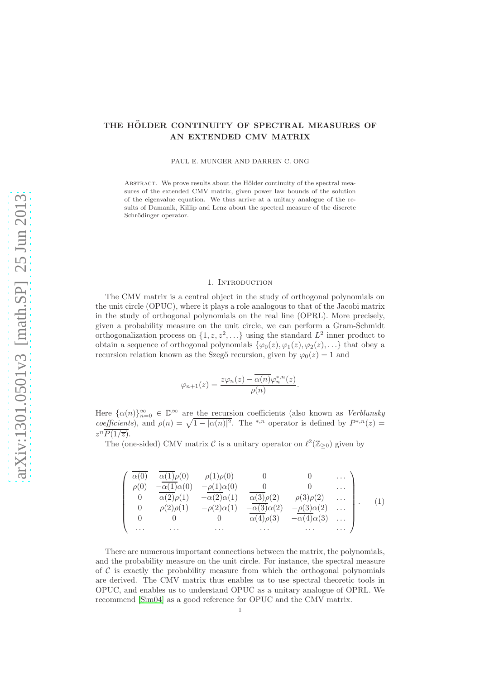# THE HÖLDER CONTINUITY OF SPECTRAL MEASURES OF AN EXTENDED CMV MATRIX

PAUL E. MUNGER AND DARREN C. ONG

ABSTRACT. We prove results about the Hölder continuity of the spectral measures of the extended CMV matrix, given power law bounds of the solution of the eigenvalue equation. We thus arrive at a unitary analogue of the results of Damanik, Killip and Lenz about the spectral measure of the discrete Schrödinger operator.

# 1. Introduction

The CMV matrix is a central object in the study of orthogonal polynomials on the unit circle (OPUC), where it plays a role analogous to that of the Jacobi matrix in the study of orthogonal polynomials on the real line (OPRL). More precisely, given a probability measure on the unit circle, we can perform a Gram-Schmidt orthogonalization process on  $\{1, z, z^2, \ldots\}$  using the standard  $L^2$  inner product to obtain a sequence of orthogonal polynomials  $\{\varphi_0(z), \varphi_1(z), \varphi_2(z), \ldots\}$  that obey a recursion relation known as the Szegő recursion, given by  $\varphi_0(z) = 1$  and

$$
\varphi_{n+1}(z) = \frac{z\varphi_n(z) - \overline{\alpha(n)}\varphi_n^{*,n}(z)}{\rho(n)}
$$

.

Here  $\{\alpha(n)\}_{n=0}^{\infty} \in \mathbb{D}^{\infty}$  are the recursion coefficients (also known as *Verblunsky* coefficients), and  $\rho(n) = \sqrt{1 - |\alpha(n)|^2}$ . The <sup>\*</sup><sup>,n</sup> operator is defined by  $P^{*,n}(z) =$  $z^n\overline{P(1/\overline{z})}.$ 

The (one-sided) CMV matrix  $\mathcal C$  is a unitary operator on  $\ell^2(\mathbb Z_{\geq 0})$  given by

<span id="page-0-0"></span>
$$
\begin{pmatrix}\n\overline{\alpha(0)} & \overline{\alpha(1)}\rho(0) & \rho(1)\rho(0) & 0 & 0 & \cdots \\
\rho(0) & -\overline{\alpha(1)}\alpha(0) & -\rho(1)\alpha(0) & 0 & 0 & \cdots \\
0 & \overline{\alpha(2)}\rho(1) & -\overline{\alpha(2)}\alpha(1) & \overline{\alpha(3)}\rho(2) & \rho(3)\rho(2) & \cdots \\
0 & \rho(2)\rho(1) & -\rho(2)\alpha(1) & -\overline{\alpha(3)}\alpha(2) & -\rho(3)\alpha(2) & \cdots \\
0 & 0 & 0 & \overline{\alpha(4)}\rho(3) & -\overline{\alpha(4)}\alpha(3) & \cdots \\
\cdots & \cdots & \cdots & \cdots & \cdots & \cdots\n\end{pmatrix}.
$$
\n(1)

There are numerous important connections between the matrix, the polynomials, and the probability measure on the unit circle. For instance, the spectral measure of  $\mathcal C$  is exactly the probability measure from which the orthogonal polynomials are derived. The CMV matrix thus enables us to use spectral theoretic tools in OPUC, and enables us to understand OPUC as a unitary analogue of OPRL. We recommend [\[Sim04\]](#page-7-0) as a good reference for OPUC and the CMV matrix.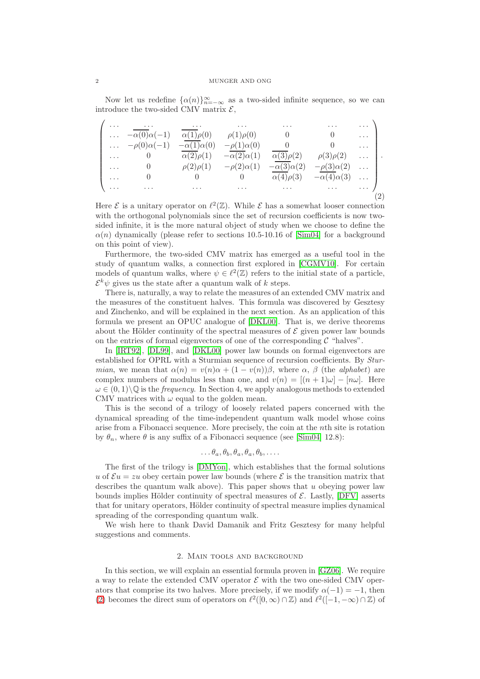Now let us redefine  $\{\alpha(n)\}_{n=-\infty}^{\infty}$  as a two-sided infinite sequence, so we can introduce the two-sided CMV matrix  $\mathcal{E}$ ,

<span id="page-1-0"></span>

| .                    | $\sim$ $\sim$ $\sim$ $\sim$ $\sim$ | $\sim$ 100 $\sim$ 100 $\sim$ | $\cdots$              | $\cdots$              | $\cdots$              | $\mathbf{1}$ , $\mathbf{1}$ , $\mathbf{1}$ |  |
|----------------------|------------------------------------|------------------------------|-----------------------|-----------------------|-----------------------|--------------------------------------------|--|
| $\sim$ $\sim$ $\sim$ | $-\alpha(0)\alpha(-1)$             | $\alpha(1)\rho(0)$           | $\rho(1)\rho(0)$      |                       |                       | $\cdots$                                   |  |
|                      | $\ldots$ $-\rho(0)\alpha(-1)$      | $-\alpha(1)\alpha(0)$        | $-\rho(1)\alpha(0)$   |                       |                       | . 1                                        |  |
| $\ldots$ .           | $\begin{matrix}0\end{matrix}$      | $\alpha(2)\rho(1)$           | $-\alpha(2)\alpha(1)$ | $\alpha(3)\rho(2)$    | $\rho(3)\rho(2)$      | $\cdots$ .                                 |  |
| $\cdots$             | $\begin{array}{c} 0 \end{array}$   | $\rho(2)\rho(1)$             | $-\rho(2)\alpha(1)$   | $-\alpha(3)\alpha(2)$ | $-\rho(3)\alpha(2)$   | . 1                                        |  |
| $\ldots$             |                                    |                              |                       | $\alpha(4)\rho(3)$    | $-\alpha(4)\alpha(3)$ | . 1                                        |  |
| $\cdots$             | $\cdots$                           | $\sim$ $\sim$ $\sim$         | $\cdots$              | $\cdots$              | $\sim$ $\sim$ $\sim$  | $\sim$ $\sim$ $\sim$                       |  |
|                      |                                    |                              |                       |                       |                       |                                            |  |

Here  $\mathcal E$  is a unitary operator on  $\ell^2(\mathbb Z)$ . While  $\mathcal E$  has a somewhat looser connection with the orthogonal polynomials since the set of recursion coefficients is now twosided infinite, it is the more natural object of study when we choose to define the  $\alpha(n)$  dynamically (please refer to sections 10.5-10.16 of [\[Sim04\]](#page-7-0) for a background on this point of view).

Furthermore, the two-sided CMV matrix has emerged as a useful tool in the study of quantum walks, a connection first explored in [\[CGMV10\]](#page-7-1). For certain models of quantum walks, where  $\psi \in \ell^2(\mathbb{Z})$  refers to the initial state of a particle,  $\mathcal{E}^k \psi$  gives us the state after a quantum walk of k steps.

There is, naturally, a way to relate the measures of an extended CMV matrix and the measures of the constituent halves. This formula was discovered by Gesztesy and Zinchenko, and will be explained in the next section. As an application of this formula we present an OPUC analogue of [\[DKL00\]](#page-7-2). That is, we derive theorems about the Hölder continuity of the spectral measures of  $\mathcal E$  given power law bounds on the entries of formal eigenvectors of one of the corresponding  $\mathcal C$  "halves".

In [\[IRT92\]](#page-7-3), [\[DL99\]](#page-7-4), and [\[DKL00\]](#page-7-2) power law bounds on formal eigenvectors are established for OPRL with a Sturmian sequence of recursion coefficients. By Sturmian, we mean that  $\alpha(n) = v(n)\alpha + (1 - v(n))\beta$ , where  $\alpha$ ,  $\beta$  (the *alphabet*) are complex numbers of modulus less than one, and  $v(n) = [(n + 1)\omega] - [n\omega]$ . Here  $\omega \in (0,1) \setminus \mathbb{Q}$  is the *frequency*. In Section 4, we apply analogous methods to extended CMV matrices with  $\omega$  equal to the golden mean.

This is the second of a trilogy of loosely related papers concerned with the dynamical spreading of the time-independent quantum walk model whose coins arise from a Fibonacci sequence. More precisely, the coin at the nth site is rotation by  $\theta_n$ , where  $\theta$  is any suffix of a Fibonacci sequence (see [\[Sim04\]](#page-7-0) 12.8):

$$
\ldots \theta_a, \theta_b, \theta_a, \theta_a, \theta_b, \ldots
$$

The first of the trilogy is [\[DMYon\]](#page-7-5), which establishes that the formal solutions u of  $\mathcal{E}u = zu$  obey certain power law bounds (where  $\mathcal E$  is the transition matrix that describes the quantum walk above). This paper shows that  $u$  obeying power law bounds implies Hölder continuity of spectral measures of  $\mathcal{E}$ . Lastly, [\[DFV\]](#page-7-6) asserts that for unitary operators, Hölder continuity of spectral measure implies dynamical spreading of the corresponding quantum walk.

We wish here to thank David Damanik and Fritz Gesztesy for many helpful suggestions and comments.

#### 2. Main tools and background

In this section, we will explain an essential formula proven in [\[GZ06\]](#page-7-7). We require a way to relate the extended CMV operator  $\mathcal E$  with the two one-sided CMV operators that comprise its two halves. More precisely, if we modify  $\alpha(-1) = -1$ , then [\(2\)](#page-1-0) becomes the direct sum of operators on  $\ell^2([0,\infty) \cap \mathbb{Z})$  and  $\ell^2([-1,-\infty) \cap \mathbb{Z})$  of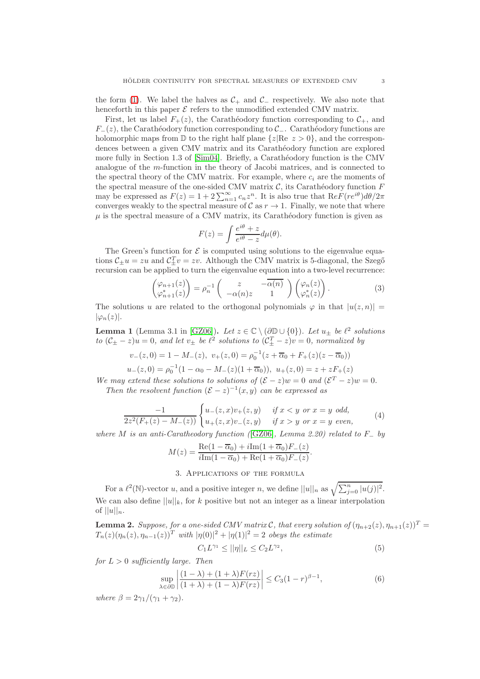the form [\(1\)](#page-0-0). We label the halves as  $C_+$  and  $C_-\$  respectively. We also note that henceforth in this paper  $\mathcal E$  refers to the unmodified extended CMV matrix.

First, let us label  $F_+(z)$ , the Carathéodory function corresponding to  $\mathcal{C}_+$ , and  $F_-(z)$ , the Carathéodory function corresponding to  $\mathcal{C}_-$ . Carathéodory functions are holomorphic maps from  $\mathbb D$  to the right half plane  $\{z| \text{Re } z > 0\}$ , and the correspondences between a given CMV matrix and its Carathéodory function are explored more fully in Section 1.3 of [\[Sim04\]](#page-7-0). Briefly, a Carathéodory function is the CMV analogue of the m-function in the theory of Jacobi matrices, and is connected to the spectral theory of the CMV matrix. For example, where  $c_i$  are the moments of the spectral measure of the one-sided CMV matrix  $C$ , its Carathéodory function  $F$ may be expressed as  $F(z) = 1 + 2 \sum_{n=1}^{\infty} c_n z^n$ . It is also true that  $\text{Re} F(re^{i\theta}) d\theta/2\pi$ converges weakly to the spectral measure of  $C$  as  $r \to 1$ . Finally, we note that where  $\mu$  is the spectral measure of a CMV matrix, its Carathéodory function is given as

$$
F(z) = \int \frac{e^{i\theta} + z}{e^{i\theta} - z} d\mu(\theta).
$$

The Green's function for  $\mathcal E$  is computed using solutions to the eigenvalue equations  $C_{\pm}u = zu$  and  $C_{\pm}^T v = zv$ . Although the CMV matrix is 5-diagonal, the Szegő recursion can be applied to turn the eigenvalue equation into a two-level recurrence:

$$
\begin{pmatrix} \varphi_{n+1}(z) \\ \varphi_{n+1}^*(z) \end{pmatrix} = \rho_n^{-1} \begin{pmatrix} z & -\overline{\alpha(n)} \\ -\alpha(n)z & 1 \end{pmatrix} \begin{pmatrix} \varphi_n(z) \\ \varphi_n^*(z) \end{pmatrix} . \tag{3}
$$

The solutions u are related to the orthogonal polynomials  $\varphi$  in that  $|u(z,n)| =$  $|\varphi_n(z)|$ .

**Lemma 1** (Lemma 3.1 in [\[GZ06\]](#page-7-7)). Let  $z \in \mathbb{C} \setminus (\partial \mathbb{D} \cup \{0\})$ . Let  $u_{\pm}$  be  $\ell^2$  solutions to  $(C_{\pm} - z)u = 0$ , and let  $v_{\pm}$  be  $\ell^2$  solutions to  $(C_{\pm}^T - z)v = 0$ , normalized by

$$
v_{-}(z,0) = 1 - M_{-}(z), \ v_{+}(z,0) = \rho_{0}^{-1}(z + \overline{\alpha}_{0} + F_{+}(z)(z - \overline{\alpha}_{0}))
$$
  

$$
u_{-}(z,0) = \rho_{0}^{-1}(1 - \alpha_{0} - M_{-}(z)(1 + \overline{\alpha}_{0})), \ u_{+}(z,0) = z + zF_{+}(z)
$$

We may extend these solutions to solutions of  $(\mathcal{E} - z)w = 0$  and  $(\mathcal{E}^T - z)w = 0$ . Then the resolvent function  $(\mathcal{E} - z)^{-1}(x, y)$  can be expressed as

<span id="page-2-2"></span>
$$
\frac{-1}{2z^2(F_+(z) - M_-(z))} \begin{cases} u_-(z, x)v_+(z, y) & \text{if } x < y \text{ or } x = y \text{ odd,} \\ u_+(z, x)v_-(z, y) & \text{if } x > y \text{ or } x = y \text{ even,} \end{cases} (4)
$$

where M is an anti-Caratheodory function ( $[GZ06]$ , Lemma 2.20) related to F<sub>-</sub> by

$$
M(z) = \frac{\text{Re}(1 - \overline{\alpha}_0) + i\text{Im}(1 + \overline{\alpha}_0)F_-(z)}{i\text{Im}(1 - \overline{\alpha}_0) + \text{Re}(1 + \overline{\alpha}_0)F_-(z)}.
$$

#### 3. Applications of the formula

For a  $\ell^2(\mathbb{N})$ -vector u, and a positive integer n, we define  $||u||_n$  as  $\sqrt{\sum_{j=0}^n |u(j)|^2}$ . We can also define  $||u||_k$ , for k positive but not an integer as a linear interpolation of  $||u||_n$ .

**Lemma 2.** Suppose, for a one-sided CMV matrix C, that every solution of  $(\eta_{n+2}(z), \eta_{n+1}(z))^T$  $T_n(z)(\eta_n(z), \eta_{n-1}(z))^T$  with  $|\eta(0)|^2 + |\eta(1)|^2 = 2$  obeys the estimate

<span id="page-2-0"></span>
$$
C_1 L^{\gamma_1} \le ||\eta||_L \le C_2 L^{\gamma_2},\tag{5}
$$

for  $L > 0$  sufficiently large. Then

<span id="page-2-1"></span>
$$
\sup_{\lambda \in \partial \mathbb{D}} \left| \frac{(1-\lambda) + (1+\lambda)F(rz)}{(1+\lambda) + (1-\lambda)F(rz)} \right| \le C_3 (1-r)^{\beta - 1},\tag{6}
$$

where  $\beta = 2\gamma_1/(\gamma_1 + \gamma_2)$ .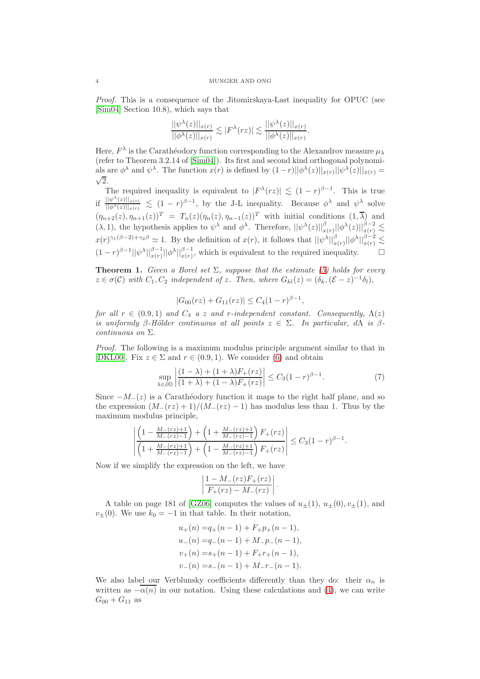Proof. This is a consequence of the Jitomirskaya-Last inequality for OPUC (see [\[Sim04\]](#page-7-0) Section 10.8), which says that

$$
\frac{||\psi^{\lambda}(z)||_{x(r)}}{||\phi^{\lambda}(z)||_{x(r)}} \lesssim |F^{\lambda}(rz)| \lesssim \frac{||\psi^{\lambda}(z)||_{x(r)}}{||\phi^{\lambda}(z)||_{x(r)}}.
$$

Here,  $F^{\lambda}$  is the Carathéodory function corresponding to the Alexandrov measure  $\mu_{\lambda}$ (refer to Theorem 3.2.14 of [\[Sim04\]](#page-7-0)). Its first and second kind orthogonal polynomials are  $\phi^{\lambda}$  and  $\psi^{\lambda}$ . The function  $x(r)$  is defined by  $(1-r)||\phi^{\lambda}(z)||_{x(r)}||\psi^{\lambda}(z)||_{x(r)} = \sqrt{2}$  $\sqrt{2}$ .

The required inequality is equivalent to  $|F^{\lambda}(rz)| \lesssim (1-r)^{\beta-1}$ . This is true if  $\frac{||\psi^{\lambda}(z)||_{x(r)}}{||\phi^{\lambda}(z)||_{\infty}}$  $\frac{\|\psi^{(n)}(z)\|_{x(r)}}{\|\phi^{(\lambda)}(z)\|_{x(r)}} \lesssim (1-r)^{\beta-1}$ , by the J-L inequality. Because  $\phi^{\lambda}$  and  $\psi^{\lambda}$  solve  $(\eta_{n+2}(z), \eta_{n+1}(z))^T = T_n(z)(\eta_n(z), \eta_{n-1}(z))^T$  with initial conditions  $(1, \overline{\lambda})$  and  $(\lambda, 1)$ , the hypothesis applies to  $\psi^{\lambda}$  and  $\phi^{\lambda}$ . Therefore,  $||\psi^{\lambda}(z)||_{x(r)}^{\beta}||\phi^{\lambda}(z)||_{x(r)}^{\beta-2} \lesssim$  $x(r)^{\gamma_1(\beta-2)+\gamma_2\beta} \simeq 1$ . By the definition of  $x(r)$ , it follows that  $||\psi^{\lambda}||_{x(r)}^{\beta}||\phi^{\lambda}||_{x(r)}^{\beta-2} \lesssim$  $(1-r)^{\beta-1} ||\psi^{\lambda}||_{x(r)}^{\beta-1} ||\phi^{\lambda}||_{x(r)}^{\beta-1}$ , which is equivalent to the required inequality.  $\square$ 

**Theorem 1.** Given a Borel set  $\Sigma$ , suppose that the estimate [\(5\)](#page-2-0) holds for every  $z \in \sigma(C)$  with  $C_1, C_2$  independent of z. Then, where  $G_{kl}(z) = (\delta_k, (\mathcal{E} - z)^{-1} \delta_l),$ 

$$
|G_{00}(rz) + G_{11}(rz)| \le C_4(1-r)^{\beta-1},
$$

for all  $r \in (0.9, 1)$  and  $C_4$  a z and r-independent constant. Consequently,  $\Lambda(z)$ is uniformly β-Hölder continuous at all points  $z \in \Sigma$ . In particular,  $d\Lambda$  is βcontinuous on Σ.

Proof. The following is a maximum modulus principle argument similar to that in [\[DKL00\]](#page-7-2). Fix  $z \in \Sigma$  and  $r \in (0.9, 1)$ . We consider [\(6\)](#page-2-1) and obtain

$$
\sup_{\lambda \in \partial \mathbb{D}} \left| \frac{(1-\lambda) + (1+\lambda)F_+(rz)}{(1+\lambda) + (1-\lambda)F_+(rz)} \right| \le C_3 (1-r)^{\beta-1}.
$$
 (7)

Since  $-M_-(z)$  is a Carathéodory function it maps to the right half plane, and so the expression  $(M_-(rz) + 1)/(M_-(rz) - 1)$  has modulus less than 1. Thus by the maximum modulus principle,

$$
\left| \frac{\left(1 - \frac{M_-(rz)+1}{M_-(rz)-1}\right) + \left(1 + \frac{M_-(rz)+1}{M_-(rz)-1}\right)F_+(rz)}{\left(1 + \frac{M_-(rz)+1}{M_-(rz)-1}\right) + \left(1 - \frac{M_-(rz)+1}{M_-(rz)-1}\right)F_+(rz)} \right| \le C_3(1-r)^{\beta-1}.
$$

Now if we simplify the expression on the left, we have

$$
\left|\frac{1-M_{-}(rz)F_{+}(rz)}{F_{+}(rz)-M_{-}(rz)}\right|.
$$

A table on page 181 of [\[GZ06\]](#page-7-7) computes the values of  $u_{\pm}(1), u_{\pm}(0), v_{\pm}(1)$ , and  $v_{\pm}(0)$ . We use  $k_0 = -1$  in that table. In their notation,

$$
u_{+}(n) = q_{+}(n-1) + F_{+}p_{+}(n-1),
$$
  
\n
$$
u_{-}(n) = q_{-}(n-1) + M_{-}p_{-}(n-1),
$$
  
\n
$$
v_{+}(n) = s_{+}(n-1) + F_{+}r_{+}(n-1),
$$
  
\n
$$
v_{-}(n) = s_{-}(n-1) + M_{-}r_{-}(n-1).
$$

We also label our Verblunsky coefficients differently than they do: their  $\alpha_n$  is written as  $-\overline{\alpha(n)}$  in our notation. Using these calculations and [\(4\)](#page-2-2), we can write  $G_{00} + G_{11}$  as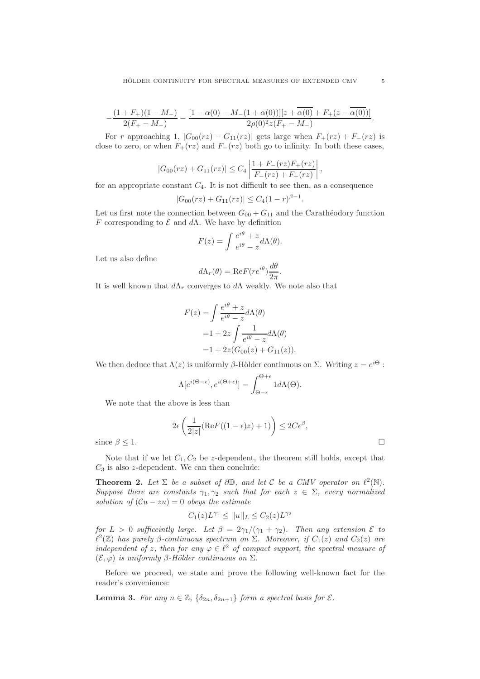$$
-\frac{(1+F_+)(1-M_-)}{2(F_+-M_-)}-\frac{[1-\alpha(0)-M_-(1+\alpha(0))][z+\overline{\alpha(0)}+F_+(z-\overline{\alpha(0)})]}{2\rho(0)^2z(F_+-M_-)}
$$

For r approaching 1,  $|G_{00}(rz) - G_{11}(rz)|$  gets large when  $F_+(rz) + F_-(rz)$  is close to zero, or when  $F_+(rz)$  and  $F_-(rz)$  both go to infinity. In both these cases,

$$
|G_{00}(rz) + G_{11}(rz)| \le C_4 \left| \frac{1 + F_-(rz)F_+(rz)}{F_-(rz) + F_+(rz)} \right|,
$$

for an appropriate constant  $C_4$ . It is not difficult to see then, as a consequence

$$
|G_{00}(rz) + G_{11}(rz)| \le C_4(1-r)^{\beta-1}.
$$

Let us first note the connection between  $G_{00} + G_{11}$  and the Carathéodory function F corresponding to  $\mathcal E$  and  $d\Lambda$ . We have by definition

$$
F(z) = \int \frac{e^{i\theta} + z}{e^{i\theta} - z} d\Lambda(\theta).
$$

Let us also define

$$
d\Lambda_r(\theta) = \text{Re}F(re^{i\theta})\frac{d\theta}{2\pi}.
$$

It is well known that  $d\Lambda_r$  converges to  $d\Lambda$  weakly. We note also that

$$
F(z) = \int \frac{e^{i\theta} + z}{e^{i\theta} - z} d\Lambda(\theta)
$$
  
= 1 + 2z \int \frac{1}{e^{i\theta} - z} d\Lambda(\theta)  
= 1 + 2z(G\_{00}(z) + G\_{11}(z)).

We then deduce that  $\Lambda(z)$  is uniformly  $\beta$ -Hölder continuous on  $\Sigma$ . Writing  $z = e^{i\Theta}$ :

$$
\Lambda[e^{i(\Theta-\epsilon)}, e^{i(\Theta+\epsilon)}] = \int_{\Theta-\epsilon}^{\Theta+\epsilon} 1 d\Lambda(\Theta).
$$

We note that the above is less than

$$
2\epsilon \left( \frac{1}{2|z|} (\text{Re}F((1-\epsilon)z) + 1) \right) \leq 2C\epsilon^{\beta},
$$
  
since  $\beta \leq 1$ .

Note that if we let  $C_1, C_2$  be z-dependent, the theorem still holds, except that  $C_3$  is also z-dependent. We can then conclude:

<span id="page-4-0"></span>**Theorem 2.** Let  $\Sigma$  be a subset of  $\partial \mathbb{D}$ , and let C be a CMV operator on  $\ell^2(\mathbb{N})$ . Suppose there are constants  $\gamma_1, \gamma_2$  such that for each  $z \in \Sigma$ , every normalized solution of  $(Cu - zu) = 0$  obeys the estimate

$$
C_1(z)L^{\gamma_1} \le ||u||_L \le C_2(z)L^{\gamma_2}
$$

for  $L > 0$  sufficeintly large. Let  $\beta = 2\gamma_1/(\gamma_1 + \gamma_2)$ . Then any extension  $\mathcal E$  to  $\ell^2(\mathbb{Z})$  has purely  $\beta$ -continuous spectrum on  $\Sigma$ . Moreover, if  $C_1(z)$  and  $C_2(z)$  are independent of z, then for any  $\varphi \in \ell^2$  of compact support, the spectral measure of  $(\mathcal{E}, \varphi)$  is uniformly  $\beta$ -Hölder continuous on  $\Sigma$ .

Before we proceed, we state and prove the following well-known fact for the reader's convenience:

**Lemma 3.** For any  $n \in \mathbb{Z}$ ,  $\{\delta_{2n}, \delta_{2n+1}\}\$  form a spectral basis for  $\mathcal{E}$ .

.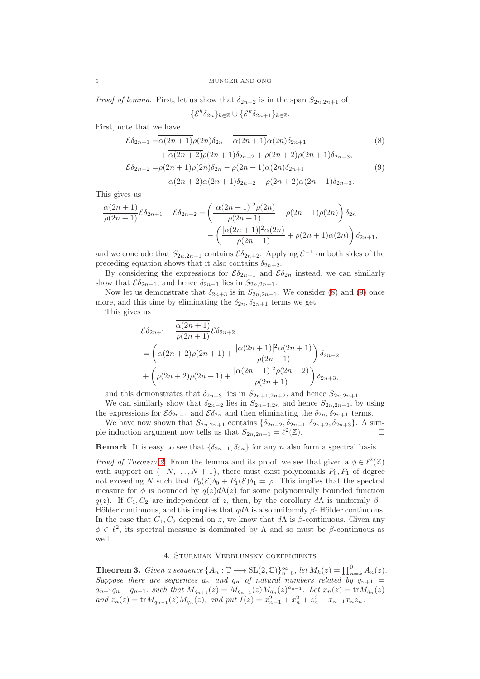*Proof of lemma.* First, let us show that  $\delta_{2n+2}$  is in the span  $S_{2n,2n+1}$  of

<span id="page-5-1"></span><span id="page-5-0"></span> $\{\mathcal{E}^k \delta_{2n}\}_{k\in\mathbb{Z}}\cup \{\mathcal{E}^k \delta_{2n+1}\}_{k\in\mathbb{Z}}.$ 

First, note that we have

$$
\mathcal{E}\delta_{2n+1} = \overline{\alpha(2n+1)}\rho(2n)\delta_{2n} - \overline{\alpha(2n+1)}\alpha(2n)\delta_{2n+1}
$$
\n
$$
+ \overline{\alpha(2n+2)}\rho(2n+1)\delta_{2n+2} + \rho(2n+2)\rho(2n+1)\delta_{2n+3},
$$
\n
$$
\mathcal{E}\delta_{2n+2} = \rho(2n+1)\rho(2n)\delta_{2n} - \rho(2n+1)\alpha(2n)\delta_{2n+1}
$$
\n
$$
- \overline{\alpha(2n+2)}\alpha(2n+1)\delta_{2n+2} - \rho(2n+2)\alpha(2n+1)\delta_{2n+3}.
$$
\n(9)

This gives us

$$
\frac{\alpha(2n+1)}{\rho(2n+1)}\mathcal{E}\delta_{2n+1} + \mathcal{E}\delta_{2n+2} = \left(\frac{|\alpha(2n+1)|^2 \rho(2n)}{\rho(2n+1)} + \rho(2n+1)\rho(2n)\right)\delta_{2n} - \left(\frac{|\alpha(2n+1)|^2 \alpha(2n)}{\rho(2n+1)} + \rho(2n+1)\alpha(2n)\right)\delta_{2n+1},
$$

and we conclude that  $S_{2n,2n+1}$  contains  $\mathcal{E} \delta_{2n+2}$ . Applying  $\mathcal{E}^{-1}$  on both sides of the preceding equation shows that it also contains  $\delta_{2n+2}$ .

By considering the expressions for  $\mathcal{E}\delta_{2n-1}$  and  $\mathcal{E}\delta_{2n}$  instead, we can similarly show that  $\mathcal{E}\delta_{2n-1}$ , and hence  $\delta_{2n-1}$  lies in  $S_{2n,2n+1}$ .

Now let us demonstrate that  $\delta_{2n+3}$  is in  $S_{2n,2n+1}$ . We consider [\(8\)](#page-5-0) and [\(9\)](#page-5-1) once more, and this time by eliminating the  $\delta_{2n}, \delta_{2n+1}$  terms we get

This gives us

$$
\mathcal{E}\delta_{2n+1} - \frac{\overline{\alpha(2n+1)}}{\rho(2n+1)} \mathcal{E}\delta_{2n+2}
$$
  
=  $\left(\overline{\alpha(2n+2)}\rho(2n+1) + \frac{|\alpha(2n+1)|^2\alpha(2n+1)}{\rho(2n+1)}\right) \delta_{2n+2}$   
+  $\left(\rho(2n+2)\rho(2n+1) + \frac{|\alpha(2n+1)|^2\rho(2n+2)}{\rho(2n+1)}\right) \delta_{2n+3},$ 

and this demonstrates that  $\delta_{2n+3}$  lies in  $S_{2n+1,2n+2}$ , and hence  $S_{2n,2n+1}$ .

We can similarly show that  $\delta_{2n-2}$  lies in  $S_{2n-1,2n}$  and hence  $S_{2n,2n+1}$ , by using the expressions for  $\mathcal{E}\delta_{2n-1}$  and  $\mathcal{E}\delta_{2n}$  and then eliminating the  $\delta_{2n}, \delta_{2n+1}$  terms.

We have now shown that  $S_{2n,2n+1}$  contains  $\{\delta_{2n-2}, \delta_{2n-1}, \delta_{2n+2}, \delta_{2n+3}\}\$ . A sim-<br>induction argument now tells us that  $S_{2n,2n+1} = \ell^2(\mathbb{Z})$ ple induction argument now tells us that  $S_{2n,2n+1} = \ell^2(\mathbb{Z})$ .

# **Remark**. It is easy to see that  $\{\delta_{2n-1}, \delta_{2n}\}\$  for any n also form a spectral basis.

*Proof of Theorem [2.](#page-4-0)* From the lemma and its proof, we see that given a  $\phi \in \ell^2(\mathbb{Z})$ with support on  $\{-N, \ldots, N+1\}$ , there must exist polynomials  $P_0, P_1$  of degree not exceeding N such that  $P_0(\mathcal{E})\delta_0 + P_1(\mathcal{E})\delta_1 = \varphi$ . This implies that the spectral measure for  $\phi$  is bounded by  $q(z)d\Lambda(z)$  for some polynomially bounded function q(z). If  $C_1, C_2$  are independent of z, then, by the corollary dA is uniformly  $\beta$ − Hölder continuous, and this implies that  $q d\Lambda$  is also uniformly  $\beta$ - Hölder continuous. In the case that  $C_1, C_2$  depend on z, we know that d $\Lambda$  is  $\beta$ -continuous. Given any  $\phi \in \ell^2$ , its spectral measure is dominated by  $\Lambda$  and so must be  $\beta$ -continuous as well.

# 4. Sturmian Verblunsky coefficients

**Theorem 3.** Given a sequence  $\{A_n : \mathbb{T} \longrightarrow \mathrm{SL}(2,\mathbb{C})\}_{n=0}^{\infty}$ , let  $M_k(z) = \prod_{n=k}^{0} A_n(z)$ . Suppose there are sequences  $a_n$  and  $q_n$  of natural numbers related by  $q_{n+1}$  =  $a_{n+1}q_n + q_{n-1}$ , such that  $M_{q_{n+1}}(z) = M_{q_{n-1}}(z)M_{q_n}(z)^{a_{n+1}}$ . Let  $x_n(z) = \text{tr}M_{q_n}(z)$ and  $z_n(z) = \text{tr} M_{q_{n-1}}(z) M_{q_n}(z)$ , and put  $I(z) = x_{n-1}^2 + x_n^2 + z_n^2 - x_{n-1} x_n z_n$ .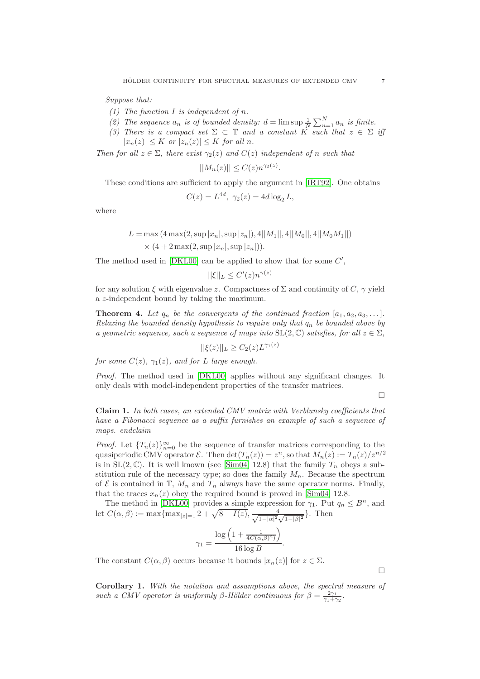Suppose that:

- (1) The function  $I$  is independent of  $n$ .
- (2) The sequence  $a_n$  is of bounded density:  $d = \limsup \frac{1}{N} \sum_{n=1}^{N} a_n$  is finite.
- (3) There is a compact set  $\Sigma \subset \mathbb{T}$  and a constant K such that  $z \in \Sigma$  iff  $|x_n(z)| \leq K$  or  $|z_n(z)| \leq K$  for all n.

.

Then for all  $z \in \Sigma$ , there exist  $\gamma_2(z)$  and  $C(z)$  independent of n such that

$$
||M_n(z)|| \le C(z) n^{\gamma_2(z)}
$$

These conditions are sufficient to apply the argument in [\[IRT92\]](#page-7-3). One obtains

$$
C(z) = L^{4d}, \ \gamma_2(z) = 4d \log_2 L,
$$

where

$$
L = \max (4 \max(2, \sup |x_n|, \sup |z_n|), 4||M_1||, 4||M_0||, 4||M_0M_1||)
$$
  
 
$$
\times (4 + 2 \max(2, \sup |x_n|, \sup |z_n|)).
$$

The method used in  $[DKL00]$  can be applied to show that for some  $C'$ ,

$$
||\xi||_L \le C'(z)n^{\gamma(z)}
$$

for any solution  $\xi$  with eigenvalue z. Compactness of  $\Sigma$  and continuity of  $C, \gamma$  yield a z-independent bound by taking the maximum.

**Theorem 4.** Let  $q_n$  be the convergents of the continued fraction  $[a_1, a_2, a_3, \ldots]$ . Relaxing the bounded density hypothesis to require only that  $q_n$  be bounded above by a geometric sequence, such a sequence of maps into  $SL(2,\mathbb{C})$  satisfies, for all  $z \in \Sigma$ ,

$$
||\xi(z)||_L \geq C_2(z)L^{\gamma_1(z)}
$$

for some  $C(z)$ ,  $\gamma_1(z)$ , and for L large enough.

Proof. The method used in [\[DKL00\]](#page-7-2) applies without any significant changes. It only deals with model-independent properties of the transfer matrices.

 $\Box$ 

 $\Box$ 

Claim 1. In both cases, an extended CMV matrix with Verblunsky coefficients that have a Fibonacci sequence as a suffix furnishes an example of such a sequence of maps. endclaim

*Proof.* Let  ${T_n(z)}_{n=0}^{\infty}$  be the sequence of transfer matrices corresponding to the quasiperiodic CMV operator  $\mathcal{E}$ . Then  $\det(T_n(z)) = z^n$ , so that  $M_n(z) := T_n(z)/z^{n/2}$ is in  $SL(2,\mathbb{C})$ . It is well known (see [\[Sim04\]](#page-7-0) 12.8) that the family  $T_n$  obeys a substitution rule of the necessary type; so does the family  $M_n$ . Because the spectrum of  $\mathcal E$  is contained in  $\mathbb T$ ,  $M_n$  and  $T_n$  always have the same operator norms. Finally, that the traces  $x_n(z)$  obey the required bound is proved in [\[Sim04\]](#page-7-0) 12.8.

The method in [\[DKL00\]](#page-7-2) provides a simple expression for  $\gamma_1$ . Put  $q_n \leq B^n$ , and let  $C(\alpha, \beta) := \max\{\max_{|z|=1} 2 + \sqrt{8 + I(z)}, \frac{4}{\sqrt{1-|\alpha|^2}}\}$  $\frac{4}{1-|\alpha|^2\sqrt{1-|\beta|^2}}\}$ . Then

$$
\gamma_1 = \frac{\log\left(1 + \frac{1}{4C(\alpha,\beta)^2)}\right)}{16\log B}.
$$

The constant  $C(\alpha, \beta)$  occurs because it bounds  $|x_n(z)|$  for  $z \in \Sigma$ .

Corollary 1. With the notation and assumptions above, the spectral measure of such a CMV operator is uniformly β-Hölder continuous for  $\beta = \frac{2\gamma_1}{\gamma_1 + \gamma_2}$ .